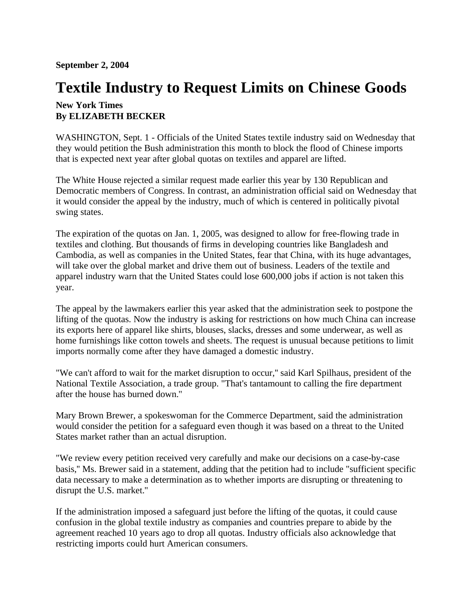**September 2, 2004**

## **Textile Industry to Request Limits on Chinese Goods**

## **New York Times By ELIZABETH BECKER**

WASHINGTON, Sept. 1 - Officials of the United States textile industry said on Wednesday that they would petition the Bush administration this month to block the flood of Chinese imports that is expected next year after global quotas on textiles and apparel are lifted.

The White House rejected a similar request made earlier this year by 130 Republican and Democratic members of Congress. In contrast, an administration official said on Wednesday that it would consider the appeal by the industry, much of which is centered in politically pivotal swing states.

The expiration of the quotas on Jan. 1, 2005, was designed to allow for free-flowing trade in textiles and clothing. But thousands of firms in developing countries like Bangladesh and Cambodia, as well as companies in the United States, fear that China, with its huge advantages, will take over the global market and drive them out of business. Leaders of the textile and apparel industry warn that the United States could lose 600,000 jobs if action is not taken this year.

The appeal by the lawmakers earlier this year asked that the administration seek to postpone the lifting of the quotas. Now the industry is asking for restrictions on how much China can increase its exports here of apparel like shirts, blouses, slacks, dresses and some underwear, as well as home furnishings like cotton towels and sheets. The request is unusual because petitions to limit imports normally come after they have damaged a domestic industry.

"We can't afford to wait for the market disruption to occur,'' said Karl Spilhaus, president of the National Textile Association, a trade group. "That's tantamount to calling the fire department after the house has burned down.''

Mary Brown Brewer, a spokeswoman for the Commerce Department, said the administration would consider the petition for a safeguard even though it was based on a threat to the United States market rather than an actual disruption.

"We review every petition received very carefully and make our decisions on a case-by-case basis,'' Ms. Brewer said in a statement, adding that the petition had to include "sufficient specific data necessary to make a determination as to whether imports are disrupting or threatening to disrupt the U.S. market.''

If the administration imposed a safeguard just before the lifting of the quotas, it could cause confusion in the global textile industry as companies and countries prepare to abide by the agreement reached 10 years ago to drop all quotas. Industry officials also acknowledge that restricting imports could hurt American consumers.